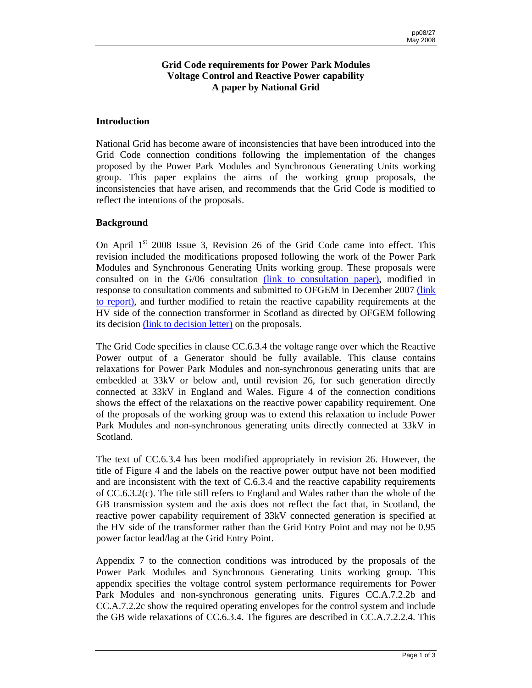# **Grid Code requirements for Power Park Modules Voltage Control and Reactive Power capability A paper by National Grid**

### **Introduction**

National Grid has become aware of inconsistencies that have been introduced into the Grid Code connection conditions following the implementation of the changes proposed by the Power Park Modules and Synchronous Generating Units working group. This paper explains the aims of the working group proposals, the inconsistencies that have arisen, and recommends that the Grid Code is modified to reflect the intentions of the proposals.

### **Background**

On April  $1<sup>st</sup>$  2008 Issue 3, Revision 26 of the Grid Code came into effect. This revision included the modifications proposed following the work of the Power Park Modules and Synchronous Generating Units working group. These proposals were consulted on in the G/06 consultation [\(link to consultation paper](http://www.nationalgrid.com/NR/rdonlyres/26A123D0-2CC4-4D16-992F-8143719B911F/13621/CP_G06_Power_Park.pdf)), modified in response to consultation comments and submitted to OFGEM in December 2007 [\(link](http://www.nationalgrid.com/NR/rdonlyres/D478E2DC-DDBE-4E92-9332-EA9ED330977E/22321/ReporttotheAuthorityG06PPM_issued.pdf) [to report\)](http://www.nationalgrid.com/NR/rdonlyres/D478E2DC-DDBE-4E92-9332-EA9ED330977E/22321/ReporttotheAuthorityG06PPM_issued.pdf), and further modified to retain the reactive capability requirements at the HV side of the connection transformer in Scotland as directed by OFGEM following its decision [\(link to decision letter\) o](http://www.nationalgrid.com/NR/rdonlyres/A630E4B4-6120-46E0-83BC-046897560771/24386/l08_008GridCodeG06decision.pdf)n the proposals.

The Grid Code specifies in clause CC.6.3.4 the voltage range over which the Reactive Power output of a Generator should be fully available. This clause contains relaxations for Power Park Modules and non-synchronous generating units that are embedded at 33kV or below and, until revision 26, for such generation directly connected at 33kV in England and Wales. Figure 4 of the connection conditions shows the effect of the relaxations on the reactive power capability requirement. One of the proposals of the working group was to extend this relaxation to include Power Park Modules and non-synchronous generating units directly connected at 33kV in Scotland.

The text of CC.6.3.4 has been modified appropriately in revision 26. However, the title of Figure 4 and the labels on the reactive power output have not been modified and are inconsistent with the text of C.6.3.4 and the reactive capability requirements of CC.6.3.2(c). The title still refers to England and Wales rather than the whole of the GB transmission system and the axis does not reflect the fact that, in Scotland, the reactive power capability requirement of 33kV connected generation is specified at the HV side of the transformer rather than the Grid Entry Point and may not be 0.95 power factor lead/lag at the Grid Entry Point.

Appendix 7 to the connection conditions was introduced by the proposals of the Power Park Modules and Synchronous Generating Units working group. This appendix specifies the voltage control system performance requirements for Power Park Modules and non-synchronous generating units. Figures CC.A.7.2.2b and CC.A.7.2.2c show the required operating envelopes for the control system and include the GB wide relaxations of CC.6.3.4. The figures are described in CC.A.7.2.2.4. This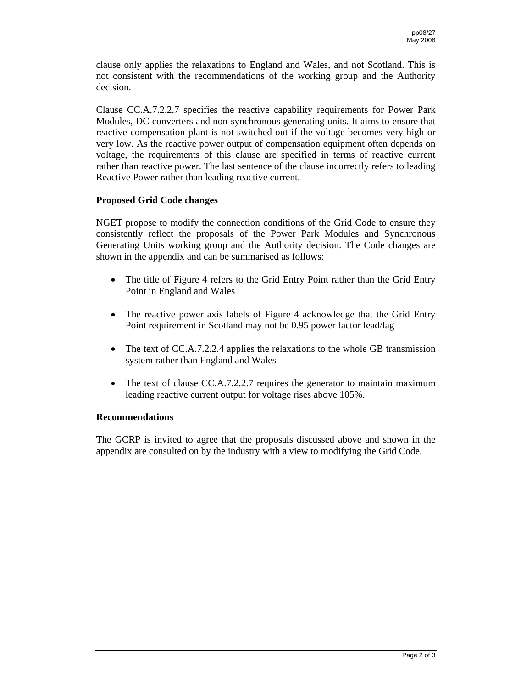clause only applies the relaxations to England and Wales, and not Scotland. This is not consistent with the recommendations of the working group and the Authority decision.

Clause CC.A.7.2.2.7 specifies the reactive capability requirements for Power Park Modules, DC converters and non-synchronous generating units. It aims to ensure that reactive compensation plant is not switched out if the voltage becomes very high or very low. As the reactive power output of compensation equipment often depends on voltage, the requirements of this clause are specified in terms of reactive current rather than reactive power. The last sentence of the clause incorrectly refers to leading Reactive Power rather than leading reactive current.

## **Proposed Grid Code changes**

NGET propose to modify the connection conditions of the Grid Code to ensure they consistently reflect the proposals of the Power Park Modules and Synchronous Generating Units working group and the Authority decision. The Code changes are shown in the appendix and can be summarised as follows:

- The title of Figure 4 refers to the Grid Entry Point rather than the Grid Entry Point in England and Wales
- The reactive power axis labels of Figure 4 acknowledge that the Grid Entry Point requirement in Scotland may not be 0.95 power factor lead/lag
- The text of CC.A.7.2.2.4 applies the relaxations to the whole GB transmission system rather than England and Wales
- The text of clause CC.A.7.2.2.7 requires the generator to maintain maximum leading reactive current output for voltage rises above 105%.

## **Recommendations**

The GCRP is invited to agree that the proposals discussed above and shown in the appendix are consulted on by the industry with a view to modifying the Grid Code.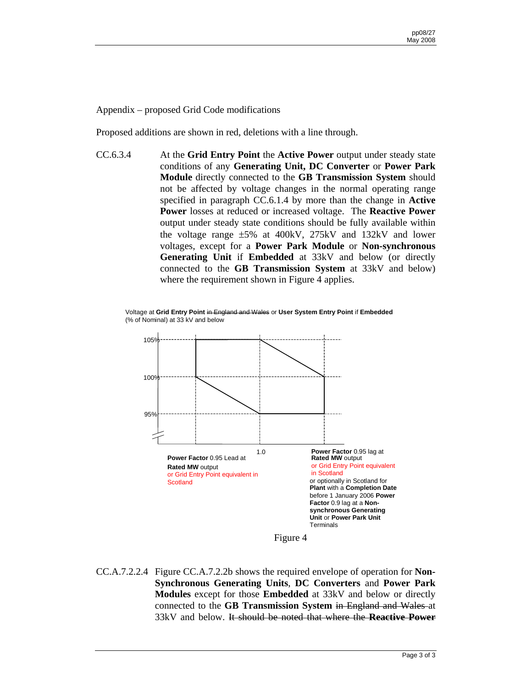Appendix – proposed Grid Code modifications

Proposed additions are shown in red, deletions with a line through.

CC.6.3.4 At the **Grid Entry Point** the **Active Power** output under steady state conditions of any **Generating Unit, DC Converter** or **Power Park Module** directly connected to the **GB Transmission System** should not be affected by voltage changes in the normal operating range specified in paragraph CC.6.1.4 by more than the change in **Active Power** losses at reduced or increased voltage. The **Reactive Power**  output under steady state conditions should be fully available within the voltage range ±5% at 400kV, 275kV and 132kV and lower voltages, except for a **Power Park Module** or **Non-synchronous Generating Unit** if **Embedded** at 33kV and below (or directly connected to the **GB Transmission System** at 33kV and below) where the requirement shown in Figure 4 applies.

Voltage at **Grid Entry Point** in England and Wales or **User System Entry Point** if **Embedded** (% of Nominal) at 33 kV and below



Figure 4

CC.A.7.2.2.4 Figure CC.A.7.2.2b shows the required envelope of operation for **Non-Synchronous Generating Units**, **DC Converters** and **Power Park Modules** except for those **Embedded** at 33kV and below or directly connected to the **GB Transmission System** in England and Wales at 33kV and below. It should be noted that where the **Reactive Power**